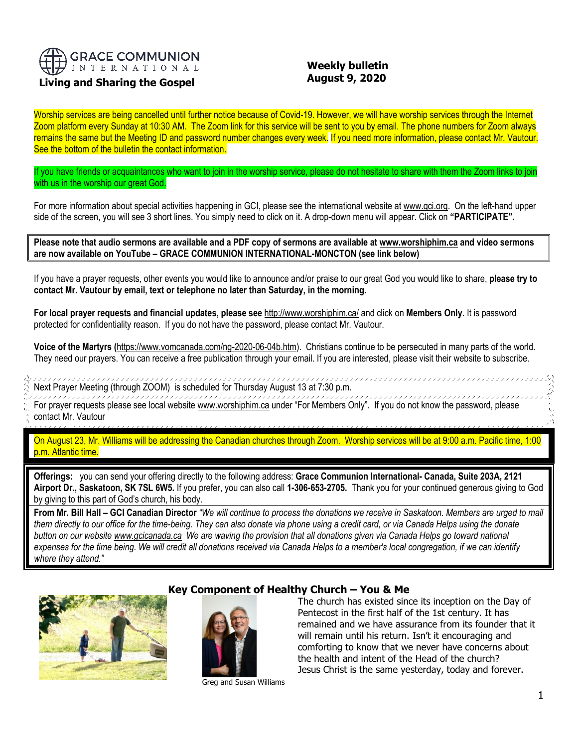

# **Living and Sharing the Gospel**

# **Weekly bulletin August 9, 2020**

Worship services are being cancelled until further notice because of Covid-19. However, we will have worship services through the Internet Zoom platform every Sunday at 10:30 AM. The Zoom link for this service will be sent to you by email. The phone numbers for Zoom always remains the same but the Meeting ID and password number changes every week. If you need more information, please contact Mr. Vautour. See the bottom of the bulletin the contact information.

If you have friends or acquaintances who want to join in the worship service, please do not hesitate to share with them the Zoom links to join with us in the worship our great God.

For more information about special activities happening in GCI, please see the international website a[t www.gci.org.](http://www.gci.org/) On the left-hand upper side of the screen, you will see 3 short lines. You simply need to click on it. A drop-down menu will appear. Click on **"PARTICIPATE".** 

**Please note that audio sermons are available and a PDF copy of sermons are available at [www.worshiphim.ca](http://www.worshiphim.ca/) and video sermons are now available on YouTube – GRACE COMMUNION INTERNATIONAL-MONCTON (see link below)**

If you have a prayer requests, other events you would like to announce and/or praise to our great God you would like to share, **please try to contact Mr. Vautour by email, text or telephone no later than Saturday, in the morning.**

**For local prayer requests and financial updates, please see** <http://www.worshiphim.ca/> and click on **Members Only**. It is password protected for confidentiality reason. If you do not have the password, please contact Mr. Vautour.

**Voice of the Martyrs (**[https://www.vomcanada.com/ng-2020-06-04b.htm\)](https://www.vomcanada.com/ng-2020-06-04b.htm). Christians continue to be persecuted in many parts of the world. They need our prayers. You can receive a free publication through your email. If you are interested, please visit their website to subscribe.

Next Prayer Meeting (through ZOOM) is scheduled for Thursday August 13 at 7:30 p.m.

For prayer requests please see local website [www.worshiphim.ca](http://www.worshiphim.ca/) under "For Members Only". If you do not know the password, please contact Mr. Vautour

On August 23, Mr. Williams will be addressing the Canadian churches through Zoom. Worship services will be at 9:00 a.m. Pacific time, 1:00 p.m. Atlantic time.

**Offerings:** you can send your offering directly to the following address: **Grace Communion International- Canada, Suite 203A, 2121 Airport Dr., Saskatoon, SK 7SL 6W5.** If you prefer, you can also call **1-306-653-2705.** Thank you for your continued generous giving to God by giving to this part of God's church, his body.

**From Mr. Bill Hall – GCI Canadian Director** *"We will continue to process the donations we receive in Saskatoon. Members are urged to mail them directly to our office for the time-being. They can also donate via phone using a credit card, or via Canada Helps using the donate button on our websit[e www.gcicanada.ca](https://eur03.safelinks.protection.outlook.com/?url=http%3A%2F%2Fwww.gcicanada.ca%2F&data=02%7C01%7C%7C9fd93e29c2b44509e5a008d7caa78fdb%7C84df9e7fe9f640afb435aaaaaaaaaaaa%7C1%7C0%7C637200693331983394&sdata=VAGy4Q%2BxbhHuYaeEiDz%2FQyicT%2FoiY4Ir9kc8w5yHRPs%3D&reserved=0) We are waving the provision that all donations given via Canada Helps go toward national expenses for the time being. We will credit all donations received via Canada Helps to a member's local congregation, if we can identify where they attend."*



## **Key Component of Healthy Church – You & Me**



Greg and Susan Williams

The church has existed since its inception on the Day of Pentecost in the first half of the 1st century. It has remained and we have assurance from its founder that it will remain until his return. Isn't it encouraging and comforting to know that we never have concerns about the health and intent of the Head of the church? Jesus Christ is the same yesterday, today and forever.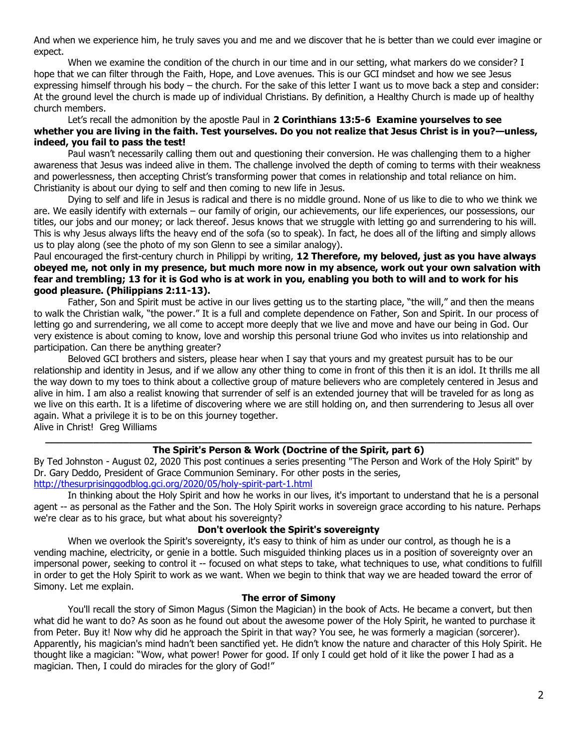And when we experience him, he truly saves you and me and we discover that he is better than we could ever imagine or expect.

When we examine the condition of the church in our time and in our setting, what markers do we consider? I hope that we can filter through the Faith, Hope, and Love avenues. This is our GCI mindset and how we see Jesus expressing himself through his body – the church. For the sake of this letter I want us to move back a step and consider: At the ground level the church is made up of individual Christians. By definition, a Healthy Church is made up of healthy church members.

Let's recall the admonition by the apostle Paul in **[2 Corinthians 13:5-6](https://biblia.com/bible/niv/2%20Cor%2013.5-6) Examine yourselves to see whether you are living in the faith. Test yourselves. Do you not realize that Jesus Christ is in you?—unless, indeed, you fail to pass the test!**

Paul wasn't necessarily calling them out and questioning their conversion. He was challenging them to a higher awareness that Jesus was indeed alive in them. The challenge involved the depth of coming to terms with their weakness and powerlessness, then accepting Christ's transforming power that comes in relationship and total reliance on him. Christianity is about our dying to self and then coming to new life in Jesus.

Dying to self and life in Jesus is radical and there is no middle ground. None of us like to die to who we think we are. We easily identify with externals – our family of origin, our achievements, our life experiences, our possessions, our titles, our jobs and our money; or lack thereof. Jesus knows that we struggle with letting go and surrendering to his will. This is why Jesus always lifts the heavy end of the sofa (so to speak). In fact, he does all of the lifting and simply allows us to play along (see the photo of my son Glenn to see a similar analogy).

### Paul encouraged the first-century church in Philippi by writing, **12 Therefore, my beloved, just as you have always obeyed me, not only in my presence, but much more now in my absence, work out your own salvation with fear and trembling; 13 for it is God who is at work in you, enabling you both to will and to work for his good pleasure. [\(Philippians 2:11-13\)](https://biblia.com/bible/niv/Phil%202.11-13).**

Father, Son and Spirit must be active in our lives getting us to the starting place, "the will," and then the means to walk the Christian walk, "the power." It is a full and complete dependence on Father, Son and Spirit. In our process of letting go and surrendering, we all come to accept more deeply that we live and move and have our being in God. Our very existence is about coming to know, love and worship this personal triune God who invites us into relationship and participation. Can there be anything greater?

Beloved GCI brothers and sisters, please hear when I say that yours and my greatest pursuit has to be our relationship and identity in Jesus, and if we allow any other thing to come in front of this then it is an idol. It thrills me all the way down to my toes to think about a collective group of mature believers who are completely centered in Jesus and alive in him. I am also a realist knowing that surrender of self is an extended journey that will be traveled for as long as we live on this earth. It is a lifetime of discovering where we are still holding on, and then surrendering to Jesus all over again. What a privilege it is to be on this journey together.

Alive in Christ! Greg Williams

#### **\_\_\_\_\_\_\_\_\_\_\_\_\_\_\_\_\_\_\_\_\_\_\_\_\_\_\_\_\_\_\_\_\_\_\_\_\_\_\_\_\_\_\_\_\_\_\_\_\_\_\_\_\_\_\_\_\_\_\_\_\_\_\_\_\_\_\_\_\_\_\_\_\_\_\_\_\_\_\_\_\_ The Spirit's Person & Work (Doctrine of the Spirit, part 6)**

By [Ted Johnston](https://www.blogger.com/profile/08677739021765621811) - [August 02, 2020](http://thesurprisinggodblog.gci.org/2020/08/holy-spirit-part-6.html) This post continues a series presenting "The Person and Work of the Holy Spirit" by Dr. Gary Deddo, President of [Grace Communion Seminary.](https://www.gcs.edu/) For other posts in the series, <http://thesurprisinggodblog.gci.org/2020/05/holy-spirit-part-1.html>

In thinking about the Holy Spirit and how he works in our lives, it's important to understand that he is a personal agent -- as personal as the Father and the Son. The Holy Spirit works in sovereign grace according to his nature. Perhaps we're clear as to his grace, but what about his sovereignty?

## **Don't overlook the Spirit's sovereignty**

When we overlook the Spirit's sovereignty, it's easy to think of him as under our control, as though he is a vending machine, electricity, or genie in a bottle. Such misguided thinking places us in a position of sovereignty over an impersonal power, seeking to control it -- focused on what steps to take, what techniques to use, what conditions to fulfill in order to get the Holy Spirit to work as we want. When we begin to think that way we are headed toward the error of Simony. Let me explain.

#### **The error of Simony**

You'll recall the story of Simon Magus (Simon the Magician) in the book of Acts. He became a convert, but then what did he want to do? As soon as he found out about the awesome power of the Holy Spirit, he wanted to purchase it from Peter. Buy it! Now why did he approach the Spirit in that way? You see, he was formerly a magician (sorcerer). Apparently, his magician's mind hadn't been sanctified yet. He didn't know the nature and character of this Holy Spirit. He thought like a magician: "Wow, what power! Power for good. If only I could get hold of it like the power I had as a magician. Then, I could do miracles for the glory of God!"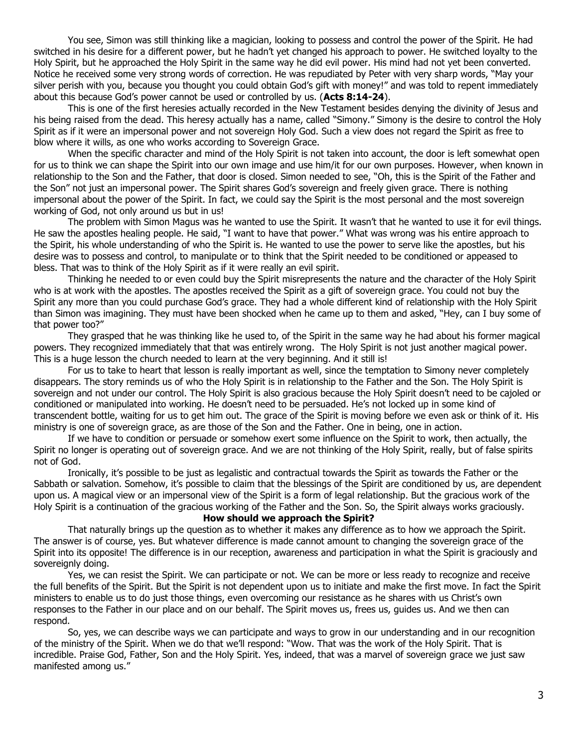You see, Simon was still thinking like a magician, looking to possess and control the power of the Spirit. He had switched in his desire for a different power, but he hadn't yet changed his approach to power. He switched loyalty to the Holy Spirit, but he approached the Holy Spirit in the same way he did evil power. His mind had not yet been converted. Notice he received some very strong words of correction. He was repudiated by Peter with very sharp words, "May your silver perish with you, because you thought you could obtain God's gift with money!" and was told to repent immediately about this because God's power cannot be used or controlled by us. (**[Acts 8:14-24](https://biblia.com/bible/niv/Acts%208.14-24)**).

This is one of the first heresies actually recorded in the New Testament besides denying the divinity of Jesus and his being raised from the dead. This heresy actually has a name, called "Simony." Simony is the desire to control the Holy Spirit as if it were an impersonal power and not sovereign Holy God. Such a view does not regard the Spirit as free to blow where it wills, as one who works according to Sovereign Grace.

When the specific character and mind of the Holy Spirit is not taken into account, the door is left somewhat open for us to think we can shape the Spirit into our own image and use him/it for our own purposes. However, when known in relationship to the Son and the Father, that door is closed. Simon needed to see, "Oh, this is the Spirit of the Father and the Son" not just an impersonal power. The Spirit shares God's sovereign and freely given grace. There is nothing impersonal about the power of the Spirit. In fact, we could say the Spirit is the most personal and the most sovereign working of God, not only around us but in us!

The problem with Simon Magus was he wanted to use the Spirit. It wasn't that he wanted to use it for evil things. He saw the apostles healing people. He said, "I want to have that power." What was wrong was his entire approach to the Spirit, his whole understanding of who the Spirit is. He wanted to use the power to serve like the apostles, but his desire was to possess and control, to manipulate or to think that the Spirit needed to be conditioned or appeased to bless. That was to think of the Holy Spirit as if it were really an evil spirit.

Thinking he needed to or even could buy the Spirit misrepresents the nature and the character of the Holy Spirit who is at work with the apostles. The apostles received the Spirit as a gift of sovereign grace. You could not buy the Spirit any more than you could purchase God's grace. They had a whole different kind of relationship with the Holy Spirit than Simon was imagining. They must have been shocked when he came up to them and asked, "Hey, can I buy some of that power too?"

They grasped that he was thinking like he used to, of the Spirit in the same way he had about his former magical powers. They recognized immediately that that was entirely wrong. The Holy Spirit is not just another magical power. This is a huge lesson the church needed to learn at the very beginning. And it still is!

For us to take to heart that lesson is really important as well, since the temptation to Simony never completely disappears. The story reminds us of who the Holy Spirit is in relationship to the Father and the Son. The Holy Spirit is sovereign and not under our control. The Holy Spirit is also gracious because the Holy Spirit doesn't need to be cajoled or conditioned or manipulated into working. He doesn't need to be persuaded. He's not locked up in some kind of transcendent bottle, waiting for us to get him out. The grace of the Spirit is moving before we even ask or think of it. His ministry is one of sovereign grace, as are those of the Son and the Father. One in being, one in action.

If we have to condition or persuade or somehow exert some influence on the Spirit to work, then actually, the Spirit no longer is operating out of sovereign grace. And we are not thinking of the Holy Spirit, really, but of false spirits not of God.

Ironically, it's possible to be just as legalistic and contractual towards the Spirit as towards the Father or the Sabbath or salvation. Somehow, it's possible to claim that the blessings of the Spirit are conditioned by us, are dependent upon us. A magical view or an impersonal view of the Spirit is a form of legal relationship. But the gracious work of the Holy Spirit is a continuation of the gracious working of the Father and the Son. So, the Spirit always works graciously.

## **How should we approach the Spirit?**

That naturally brings up the question as to whether it makes any difference as to how we approach the Spirit. The answer is of course, yes. But whatever difference is made cannot amount to changing the sovereign grace of the Spirit into its opposite! The difference is in our reception, awareness and participation in what the Spirit is graciously and sovereignly doing.

Yes, we can resist the Spirit. We can participate or not. We can be more or less ready to recognize and receive the full benefits of the Spirit. But the Spirit is not dependent upon us to initiate and make the first move. In fact the Spirit ministers to enable us to do just those things, even overcoming our resistance as he shares with us Christ's own responses to the Father in our place and on our behalf. The Spirit moves us, frees us, guides us. And we then can respond.

So, yes, we can describe ways we can participate and ways to grow in our understanding and in our recognition of the ministry of the Spirit. When we do that we'll respond: "Wow. That was the work of the Holy Spirit. That is incredible. Praise God, Father, Son and the Holy Spirit. Yes, indeed, that was a marvel of sovereign grace we just saw manifested among us."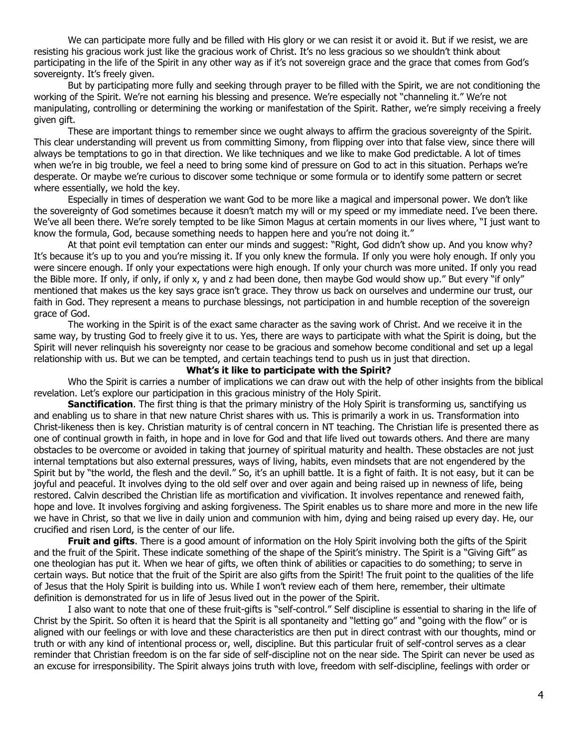We can participate more fully and be filled with His glory or we can resist it or avoid it. But if we resist, we are resisting his gracious work just like the gracious work of Christ. It's no less gracious so we shouldn't think about participating in the life of the Spirit in any other way as if it's not sovereign grace and the grace that comes from God's sovereignty. It's freely given.

But by participating more fully and seeking through prayer to be filled with the Spirit, we are not conditioning the working of the Spirit. We're not earning his blessing and presence. We're especially not "channeling it." We're not manipulating, controlling or determining the working or manifestation of the Spirit. Rather, we're simply receiving a freely given gift.

These are important things to remember since we ought always to affirm the gracious sovereignty of the Spirit. This clear understanding will prevent us from committing Simony, from flipping over into that false view, since there will always be temptations to go in that direction. We like techniques and we like to make God predictable. A lot of times when we're in big trouble, we feel a need to bring some kind of pressure on God to act in this situation. Perhaps we're desperate. Or maybe we're curious to discover some technique or some formula or to identify some pattern or secret where essentially, we hold the key.

Especially in times of desperation we want God to be more like a magical and impersonal power. We don't like the sovereignty of God sometimes because it doesn't match my will or my speed or my immediate need. I've been there. We've all been there. We're sorely tempted to be like Simon Magus at certain moments in our lives where, "I just want to know the formula, God, because something needs to happen here and you're not doing it."

At that point evil temptation can enter our minds and suggest: "Right, God didn't show up. And you know why? It's because it's up to you and you're missing it. If you only knew the formula. If only you were holy enough. If only you were sincere enough. If only your expectations were high enough. If only your church was more united. If only you read the Bible more. If only, if only, if only x, y and z had been done, then maybe God would show up." But every "if only" mentioned that makes us the key says grace isn't grace. They throw us back on ourselves and undermine our trust, our faith in God. They represent a means to purchase blessings, not participation in and humble reception of the sovereign grace of God.

The working in the Spirit is of the exact same character as the saving work of Christ. And we receive it in the same way, by trusting God to freely give it to us. Yes, there are ways to participate with what the Spirit is doing, but the Spirit will never relinquish his sovereignty nor cease to be gracious and somehow become conditional and set up a legal relationship with us. But we can be tempted, and certain teachings tend to push us in just that direction.

#### **What's it like to participate with the Spirit?**

Who the Spirit is carries a number of implications we can draw out with the help of other insights from the biblical revelation. Let's explore our participation in this gracious ministry of the Holy Spirit.

**Sanctification**. The first thing is that the primary ministry of the Holy Spirit is transforming us, sanctifying us and enabling us to share in that new nature Christ shares with us. This is primarily a work in us. Transformation into Christ-likeness then is key. Christian maturity is of central concern in NT teaching. The Christian life is presented there as one of continual growth in faith, in hope and in love for God and that life lived out towards others. And there are many obstacles to be overcome or avoided in taking that journey of spiritual maturity and health. These obstacles are not just internal temptations but also external pressures, ways of living, habits, even mindsets that are not engendered by the Spirit but by "the world, the flesh and the devil." So, it's an uphill battle. It is a fight of faith. It is not easy, but it can be joyful and peaceful. It involves dying to the old self over and over again and being raised up in newness of life, being restored. Calvin described the Christian life as mortification and vivification. It involves repentance and renewed faith, hope and love. It involves forgiving and asking forgiveness. The Spirit enables us to share more and more in the new life we have in Christ, so that we live in daily union and communion with him, dying and being raised up every day. He, our crucified and risen Lord, is the center of our life.

**Fruit and gifts**. There is a good amount of information on the Holy Spirit involving both the gifts of the Spirit and the fruit of the Spirit. These indicate something of the shape of the Spirit's ministry. The Spirit is a "Giving Gift" as one theologian has put it. When we hear of gifts, we often think of abilities or capacities to do something; to serve in certain ways. But notice that the fruit of the Spirit are also gifts from the Spirit! The fruit point to the qualities of the life of Jesus that the Holy Spirit is building into us. While I won't review each of them here, remember, their ultimate definition is demonstrated for us in life of Jesus lived out in the power of the Spirit.

I also want to note that one of these fruit-gifts is "self-control." Self discipline is essential to sharing in the life of Christ by the Spirit. So often it is heard that the Spirit is all spontaneity and "letting go" and "going with the flow" or is aligned with our feelings or with love and these characteristics are then put in direct contrast with our thoughts, mind or truth or with any kind of intentional process or, well, discipline. But this particular fruit of self-control serves as a clear reminder that Christian freedom is on the far side of self-discipline not on the near side. The Spirit can never be used as an excuse for irresponsibility. The Spirit always joins truth with love, freedom with self-discipline, feelings with order or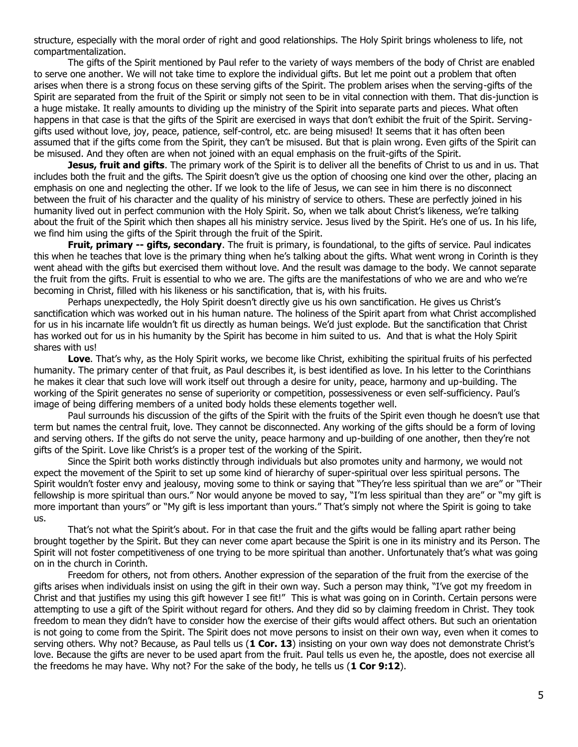structure, especially with the moral order of right and good relationships. The Holy Spirit brings wholeness to life, not compartmentalization.

The gifts of the Spirit mentioned by Paul refer to the variety of ways members of the body of Christ are enabled to serve one another. We will not take time to explore the individual gifts. But let me point out a problem that often arises when there is a strong focus on these serving gifts of the Spirit. The problem arises when the serving-gifts of the Spirit are separated from the fruit of the Spirit or simply not seen to be in vital connection with them. That dis-junction is a huge mistake. It really amounts to dividing up the ministry of the Spirit into separate parts and pieces. What often happens in that case is that the gifts of the Spirit are exercised in ways that don't exhibit the fruit of the Spirit. Servinggifts used without love, joy, peace, patience, self-control, etc. are being misused! It seems that it has often been assumed that if the gifts come from the Spirit, they can't be misused. But that is plain wrong. Even gifts of the Spirit can be misused. And they often are when not joined with an equal emphasis on the fruit-gifts of the Spirit.

**Jesus, fruit and gifts**. The primary work of the Spirit is to deliver all the benefits of Christ to us and in us. That includes both the fruit and the gifts. The Spirit doesn't give us the option of choosing one kind over the other, placing an emphasis on one and neglecting the other. If we look to the life of Jesus, we can see in him there is no disconnect between the fruit of his character and the quality of his ministry of service to others. These are perfectly joined in his humanity lived out in perfect communion with the Holy Spirit. So, when we talk about Christ's likeness, we're talking about the fruit of the Spirit which then shapes all his ministry service. Jesus lived by the Spirit. He's one of us. In his life, we find him using the gifts of the Spirit through the fruit of the Spirit.

**Fruit, primary -- gifts, secondary**. The fruit is primary, is foundational, to the gifts of service. Paul indicates this when he teaches that love is the primary thing when he's talking about the gifts. What went wrong in Corinth is they went ahead with the gifts but exercised them without love. And the result was damage to the body. We cannot separate the fruit from the gifts. Fruit is essential to who we are. The gifts are the manifestations of who we are and who we're becoming in Christ, filled with his likeness or his sanctification, that is, with his fruits.

Perhaps unexpectedly, the Holy Spirit doesn't directly give us his own sanctification. He gives us Christ's sanctification which was worked out in his human nature. The holiness of the Spirit apart from what Christ accomplished for us in his incarnate life wouldn't fit us directly as human beings. We'd just explode. But the sanctification that Christ has worked out for us in his humanity by the Spirit has become in him suited to us. And that is what the Holy Spirit shares with us!

**Love**. That's why, as the Holy Spirit works, we become like Christ, exhibiting the spiritual fruits of his perfected humanity. The primary center of that fruit, as Paul describes it, is best identified as love. In his letter to the Corinthians he makes it clear that such love will work itself out through a desire for unity, peace, harmony and up-building. The working of the Spirit generates no sense of superiority or competition, possessiveness or even self-sufficiency. Paul's image of being differing members of a united body holds these elements together well.

Paul surrounds his discussion of the gifts of the Spirit with the fruits of the Spirit even though he doesn't use that term but names the central fruit, love. They cannot be disconnected. Any working of the gifts should be a form of loving and serving others. If the gifts do not serve the unity, peace harmony and up-building of one another, then they're not gifts of the Spirit. Love like Christ's is a proper test of the working of the Spirit.

Since the Spirit both works distinctly through individuals but also promotes unity and harmony, we would not expect the movement of the Spirit to set up some kind of hierarchy of super-spiritual over less spiritual persons. The Spirit wouldn't foster envy and jealousy, moving some to think or saying that "They're less spiritual than we are" or "Their fellowship is more spiritual than ours." Nor would anyone be moved to say, "I'm less spiritual than they are" or "my gift is more important than yours" or "My gift is less important than yours." That's simply not where the Spirit is going to take us.

That's not what the Spirit's about. For in that case the fruit and the gifts would be falling apart rather being brought together by the Spirit. But they can never come apart because the Spirit is one in its ministry and its Person. The Spirit will not foster competitiveness of one trying to be more spiritual than another. Unfortunately that's what was going on in the church in Corinth.

Freedom for others, not from others. Another expression of the separation of the fruit from the exercise of the gifts arises when individuals insist on using the gift in their own way. Such a person may think, "I've got my freedom in Christ and that justifies my using this gift however I see fit!" This is what was going on in Corinth. Certain persons were attempting to use a gift of the Spirit without regard for others. And they did so by claiming freedom in Christ. They took freedom to mean they didn't have to consider how the exercise of their gifts would affect others. But such an orientation is not going to come from the Spirit. The Spirit does not move persons to insist on their own way, even when it comes to serving others. Why not? Because, as Paul tells us (**[1 Cor. 13](https://biblia.com/bible/niv/1%20Cor.%2013)**) insisting on your own way does not demonstrate Christ's love. Because the gifts are never to be used apart from the fruit. Paul tells us even he, the apostle, does not exercise all the freedoms he may have. Why not? For the sake of the body, he tells us (**[1 Cor 9:12](https://biblia.com/bible/niv/1%20Cor%209.12)**).